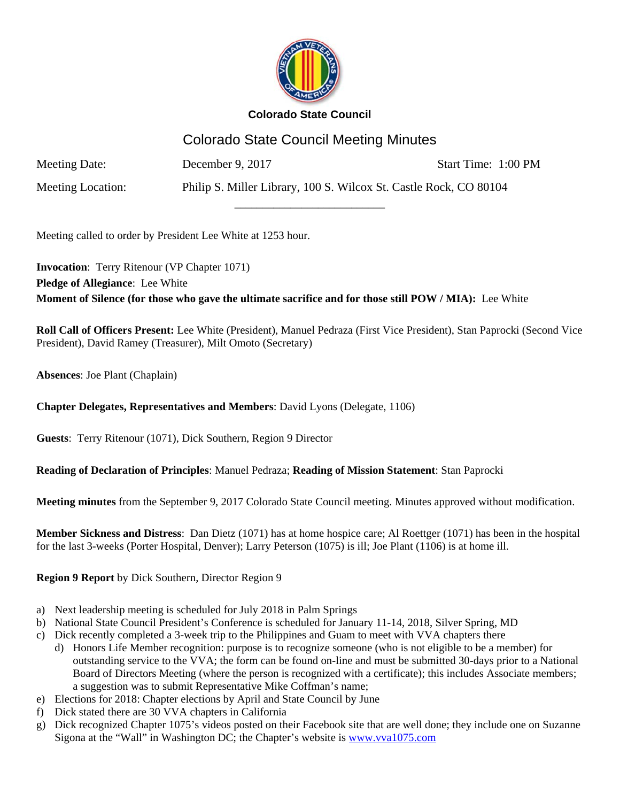

# Colorado State Council Meeting Minutes

\_\_\_\_\_\_\_\_\_\_\_\_\_\_\_\_\_\_\_\_\_\_\_\_\_\_\_

Meeting Date: December 9, 2017 Start Time: 1:00 PM

Meeting Location: Philip S. Miller Library, 100 S. Wilcox St. Castle Rock, CO 80104

Meeting called to order by President Lee White at 1253 hour.

**Invocation**: Terry Ritenour (VP Chapter 1071) **Pledge of Allegiance**: Lee White **Moment of Silence (for those who gave the ultimate sacrifice and for those still POW / MIA):** Lee White

**Roll Call of Officers Present:** Lee White (President), Manuel Pedraza (First Vice President), Stan Paprocki (Second Vice President), David Ramey (Treasurer), Milt Omoto (Secretary)

**Absences**: Joe Plant (Chaplain)

## **Chapter Delegates, Representatives and Members**: David Lyons (Delegate, 1106)

**Guests**: Terry Ritenour (1071), Dick Southern, Region 9 Director

### **Reading of Declaration of Principles**: Manuel Pedraza; **Reading of Mission Statement**: Stan Paprocki

**Meeting minutes** from the September 9, 2017 Colorado State Council meeting. Minutes approved without modification.

**Member Sickness and Distress**: Dan Dietz (1071) has at home hospice care; Al Roettger (1071) has been in the hospital for the last 3-weeks (Porter Hospital, Denver); Larry Peterson (1075) is ill; Joe Plant (1106) is at home ill.

### **Region 9 Report** by Dick Southern, Director Region 9

- a) Next leadership meeting is scheduled for July 2018 in Palm Springs
- b) National State Council President's Conference is scheduled for January 11-14, 2018, Silver Spring, MD
- c) Dick recently completed a 3-week trip to the Philippines and Guam to meet with VVA chapters there
	- d) Honors Life Member recognition: purpose is to recognize someone (who is not eligible to be a member) for outstanding service to the VVA; the form can be found on-line and must be submitted 30-days prior to a National Board of Directors Meeting (where the person is recognized with a certificate); this includes Associate members; a suggestion was to submit Representative Mike Coffman's name;
- e) Elections for 2018: Chapter elections by April and State Council by June
- f) Dick stated there are 30 VVA chapters in California
- g) Dick recognized Chapter 1075's videos posted on their Facebook site that are well done; they include one on Suzanne Sigona at the "Wall" in Washington DC; the Chapter's website is www.vva1075.com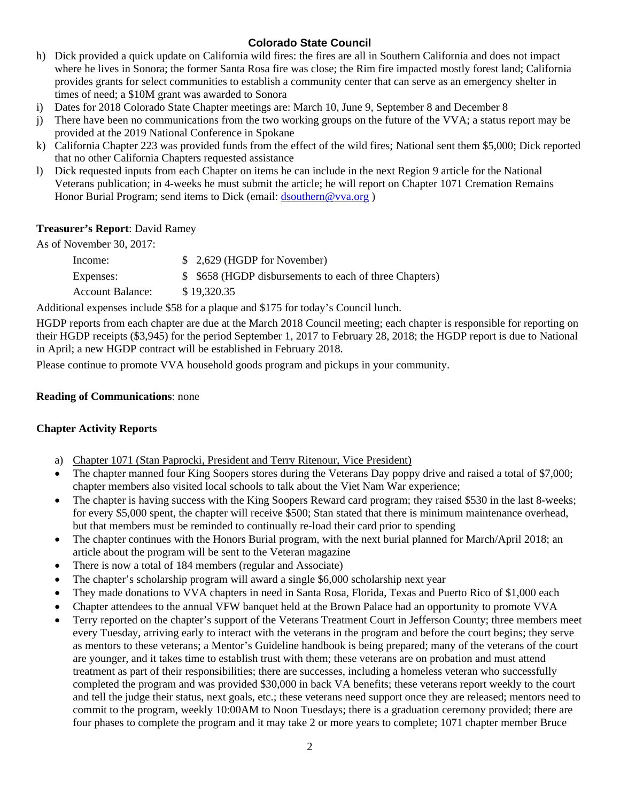- h) Dick provided a quick update on California wild fires: the fires are all in Southern California and does not impact where he lives in Sonora; the former Santa Rosa fire was close; the Rim fire impacted mostly forest land; California provides grants for select communities to establish a community center that can serve as an emergency shelter in times of need; a \$10M grant was awarded to Sonora
- i) Dates for 2018 Colorado State Chapter meetings are: March 10, June 9, September 8 and December 8
- j) There have been no communications from the two working groups on the future of the VVA; a status report may be provided at the 2019 National Conference in Spokane
- k) California Chapter 223 was provided funds from the effect of the wild fires; National sent them \$5,000; Dick reported that no other California Chapters requested assistance
- l) Dick requested inputs from each Chapter on items he can include in the next Region 9 article for the National Veterans publication; in 4-weeks he must submit the article; he will report on Chapter 1071 Cremation Remains Honor Burial Program; send items to Dick (email: dsouthern@vva.org)

### **Treasurer's Report**: David Ramey

As of November 30, 2017:

| Income:                 | $$2,629$ (HGDP for November)                            |
|-------------------------|---------------------------------------------------------|
| Expenses:               | \$ \$658 (HGDP disbursements to each of three Chapters) |
| <b>Account Balance:</b> | \$19,320.35                                             |

Additional expenses include \$58 for a plaque and \$175 for today's Council lunch.

HGDP reports from each chapter are due at the March 2018 Council meeting; each chapter is responsible for reporting on their HGDP receipts (\$3,945) for the period September 1, 2017 to February 28, 2018; the HGDP report is due to National in April; a new HGDP contract will be established in February 2018.

Please continue to promote VVA household goods program and pickups in your community.

#### **Reading of Communications**: none

### **Chapter Activity Reports**

- a) Chapter 1071 (Stan Paprocki, President and Terry Ritenour, Vice President)
- The chapter manned four King Soopers stores during the Veterans Day poppy drive and raised a total of \$7,000; chapter members also visited local schools to talk about the Viet Nam War experience;
- The chapter is having success with the King Soopers Reward card program; they raised \$530 in the last 8-weeks; for every \$5,000 spent, the chapter will receive \$500; Stan stated that there is minimum maintenance overhead, but that members must be reminded to continually re-load their card prior to spending
- The chapter continues with the Honors Burial program, with the next burial planned for March/April 2018; an article about the program will be sent to the Veteran magazine
- There is now a total of 184 members (regular and Associate)
- The chapter's scholarship program will award a single \$6,000 scholarship next year
- They made donations to VVA chapters in need in Santa Rosa, Florida, Texas and Puerto Rico of \$1,000 each
- Chapter attendees to the annual VFW banquet held at the Brown Palace had an opportunity to promote VVA
- Terry reported on the chapter's support of the Veterans Treatment Court in Jefferson County; three members meet every Tuesday, arriving early to interact with the veterans in the program and before the court begins; they serve as mentors to these veterans; a Mentor's Guideline handbook is being prepared; many of the veterans of the court are younger, and it takes time to establish trust with them; these veterans are on probation and must attend treatment as part of their responsibilities; there are successes, including a homeless veteran who successfully completed the program and was provided \$30,000 in back VA benefits; these veterans report weekly to the court and tell the judge their status, next goals, etc.; these veterans need support once they are released; mentors need to commit to the program, weekly 10:00AM to Noon Tuesdays; there is a graduation ceremony provided; there are four phases to complete the program and it may take 2 or more years to complete; 1071 chapter member Bruce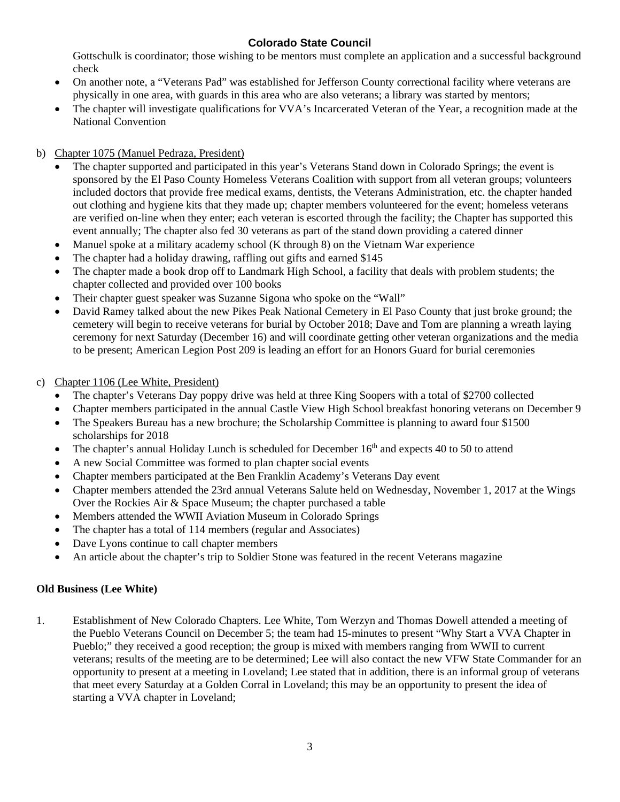Gottschulk is coordinator; those wishing to be mentors must complete an application and a successful background check

- On another note, a "Veterans Pad" was established for Jefferson County correctional facility where veterans are physically in one area, with guards in this area who are also veterans; a library was started by mentors;
- The chapter will investigate qualifications for VVA's Incarcerated Veteran of the Year, a recognition made at the National Convention

## b) Chapter 1075 (Manuel Pedraza, President)

- The chapter supported and participated in this year's Veterans Stand down in Colorado Springs; the event is sponsored by the El Paso County Homeless Veterans Coalition with support from all veteran groups; volunteers included doctors that provide free medical exams, dentists, the Veterans Administration, etc. the chapter handed out clothing and hygiene kits that they made up; chapter members volunteered for the event; homeless veterans are verified on-line when they enter; each veteran is escorted through the facility; the Chapter has supported this event annually; The chapter also fed 30 veterans as part of the stand down providing a catered dinner
- Manuel spoke at a military academy school (K through 8) on the Vietnam War experience
- The chapter had a holiday drawing, raffling out gifts and earned \$145
- The chapter made a book drop off to Landmark High School, a facility that deals with problem students; the chapter collected and provided over 100 books
- Their chapter guest speaker was Suzanne Sigona who spoke on the "Wall"
- David Ramey talked about the new Pikes Peak National Cemetery in El Paso County that just broke ground; the cemetery will begin to receive veterans for burial by October 2018; Dave and Tom are planning a wreath laying ceremony for next Saturday (December 16) and will coordinate getting other veteran organizations and the media to be present; American Legion Post 209 is leading an effort for an Honors Guard for burial ceremonies

### c) Chapter 1106 (Lee White, President)

- The chapter's Veterans Day poppy drive was held at three King Soopers with a total of \$2700 collected
- Chapter members participated in the annual Castle View High School breakfast honoring veterans on December 9
- The Speakers Bureau has a new brochure; the Scholarship Committee is planning to award four \$1500 scholarships for 2018
- The chapter's annual Holiday Lunch is scheduled for December 16<sup>th</sup> and expects 40 to 50 to attend
- A new Social Committee was formed to plan chapter social events
- Chapter members participated at the Ben Franklin Academy's Veterans Day event
- Chapter members attended the 23rd annual Veterans Salute held on Wednesday, November 1, 2017 at the Wings Over the Rockies Air & Space Museum; the chapter purchased a table
- Members attended the WWII Aviation Museum in Colorado Springs
- The chapter has a total of 114 members (regular and Associates)
- Dave Lyons continue to call chapter members
- An article about the chapter's trip to Soldier Stone was featured in the recent Veterans magazine

# **Old Business (Lee White)**

1. Establishment of New Colorado Chapters. Lee White, Tom Werzyn and Thomas Dowell attended a meeting of the Pueblo Veterans Council on December 5; the team had 15-minutes to present "Why Start a VVA Chapter in Pueblo;" they received a good reception; the group is mixed with members ranging from WWII to current veterans; results of the meeting are to be determined; Lee will also contact the new VFW State Commander for an opportunity to present at a meeting in Loveland; Lee stated that in addition, there is an informal group of veterans that meet every Saturday at a Golden Corral in Loveland; this may be an opportunity to present the idea of starting a VVA chapter in Loveland;